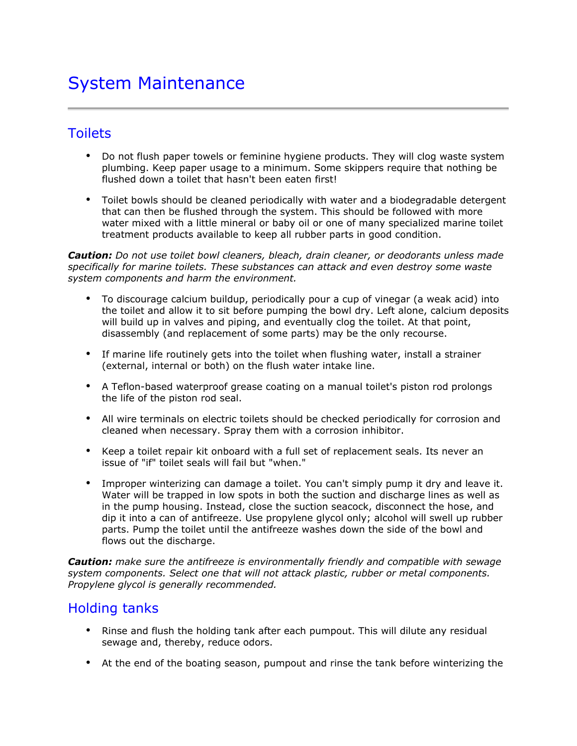# System Maintenance

#### **Toilets**

- Do not flush paper towels or feminine hygiene products. They will clog waste system plumbing. Keep paper usage to a minimum. Some skippers require that nothing be flushed down a toilet that hasn't been eaten first!
- Toilet bowls should be cleaned periodically with water and a biodegradable detergent that can then be flushed through the system. This should be followed with more water mixed with a little mineral or baby oil or one of many specialized marine toilet treatment products available to keep all rubber parts in good condition.

*Caution: Do not use toilet bowl cleaners, bleach, drain cleaner, or deodorants unless made specifically for marine toilets. These substances can attack and even destroy some waste system components and harm the environment.*

- To discourage calcium buildup, periodically pour a cup of vinegar (a weak acid) into the toilet and allow it to sit before pumping the bowl dry. Left alone, calcium deposits will build up in valves and piping, and eventually clog the toilet. At that point, disassembly (and replacement of some parts) may be the only recourse.
- If marine life routinely gets into the toilet when flushing water, install a strainer (external, internal or both) on the flush water intake line.
- A Teflon-based waterproof grease coating on a manual toilet's piston rod prolongs the life of the piston rod seal.
- All wire terminals on electric toilets should be checked periodically for corrosion and cleaned when necessary. Spray them with a corrosion inhibitor.
- Keep a toilet repair kit onboard with a full set of replacement seals. Its never an issue of "if" toilet seals will fail but "when."
- Improper winterizing can damage a toilet. You can't simply pump it dry and leave it. Water will be trapped in low spots in both the suction and discharge lines as well as in the pump housing. Instead, close the suction seacock, disconnect the hose, and dip it into a can of antifreeze. Use propylene glycol only; alcohol will swell up rubber parts. Pump the toilet until the antifreeze washes down the side of the bowl and flows out the discharge.

*Caution: make sure the antifreeze is environmentally friendly and compatible with sewage system components. Select one that will not attack plastic, rubber or metal components. Propylene glycol is generally recommended.*

#### Holding tanks

- Rinse and flush the holding tank after each pumpout. This will dilute any residual sewage and, thereby, reduce odors.
- At the end of the boating season, pumpout and rinse the tank before winterizing the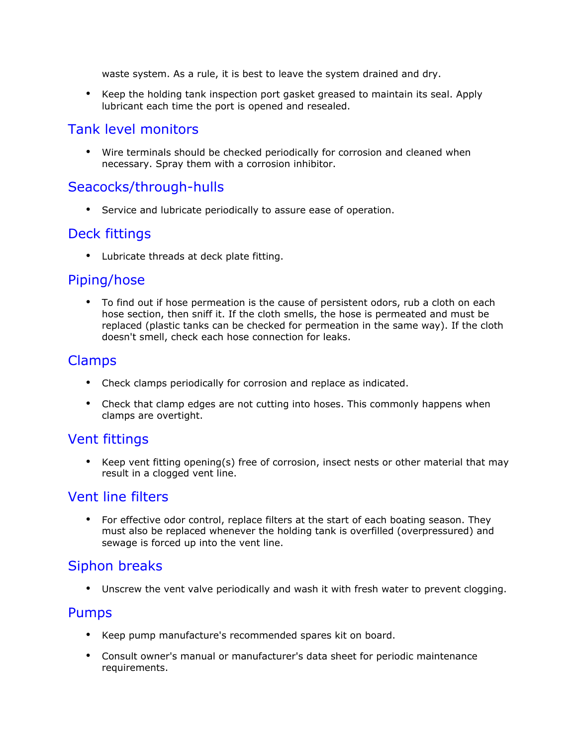waste system. As a rule, it is best to leave the system drained and dry.

• Keep the holding tank inspection port gasket greased to maintain its seal. Apply lubricant each time the port is opened and resealed.

#### Tank level monitors

• Wire terminals should be checked periodically for corrosion and cleaned when necessary. Spray them with a corrosion inhibitor.

## Seacocks/through-hulls

• Service and lubricate periodically to assure ease of operation.

#### Deck fittings

• Lubricate threads at deck plate fitting.

#### Piping/hose

• To find out if hose permeation is the cause of persistent odors, rub a cloth on each hose section, then sniff it. If the cloth smells, the hose is permeated and must be replaced (plastic tanks can be checked for permeation in the same way). If the cloth doesn't smell, check each hose connection for leaks.

#### Clamps

- Check clamps periodically for corrosion and replace as indicated.
- Check that clamp edges are not cutting into hoses. This commonly happens when clamps are overtight.

#### Vent fittings

• Keep vent fitting opening(s) free of corrosion, insect nests or other material that may result in a clogged vent line.

#### Vent line filters

• For effective odor control, replace filters at the start of each boating season. They must also be replaced whenever the holding tank is overfilled (overpressured) and sewage is forced up into the vent line.

## Siphon breaks

• Unscrew the vent valve periodically and wash it with fresh water to prevent clogging.

#### Pumps

- Keep pump manufacture's recommended spares kit on board.
- Consult owner's manual or manufacturer's data sheet for periodic maintenance requirements.